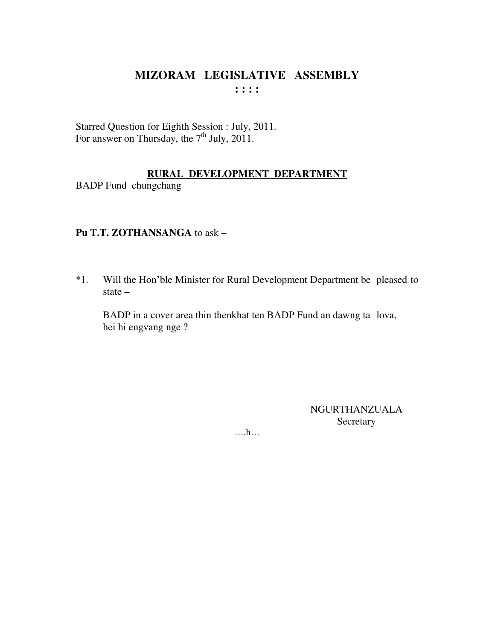# MIZORAM LEGISLATIVE ASSEMBLY  $: : : : :$

Starred Question for Eighth Session : July, 2011. For answer on Thursday, the  $7<sup>th</sup>$  July, 2011.

#### RURAL DEVELOPMENT DEPARTMENT

**BADP** Fund chungchang

### Pu T.T. ZOTHANSANGA to ask -

Will the Hon'ble Minister for Rural Development Department be pleased to  $*1.$ state  $-$ 

BADP in a cover area thin thenkhat ten BADP Fund an dawng ta lova, hei hi engvang nge ?

> **NGURTHANZUALA** Secretary

 $\dots$ ...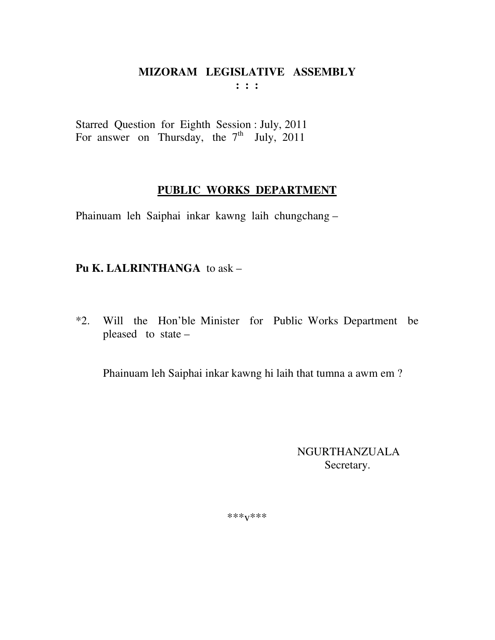#### **MIZORAM LEGISLATIVE ASSEMBLY : : :**

Starred Question for Eighth Session : July, 2011 For answer on Thursday, the  $7<sup>th</sup>$  July, 2011

## **PUBLIC WORKS DEPARTMENT**

Phainuam leh Saiphai inkar kawng laih chungchang –

# **Pu K. LALRINTHANGA** to ask –

\*2. Will the Hon'ble Minister for Public Works Department be pleased to state –

Phainuam leh Saiphai inkar kawng hi laih that tumna a awm em ?

 NGURTHANZUALA Secretary.

\*\*\*v\*\*\*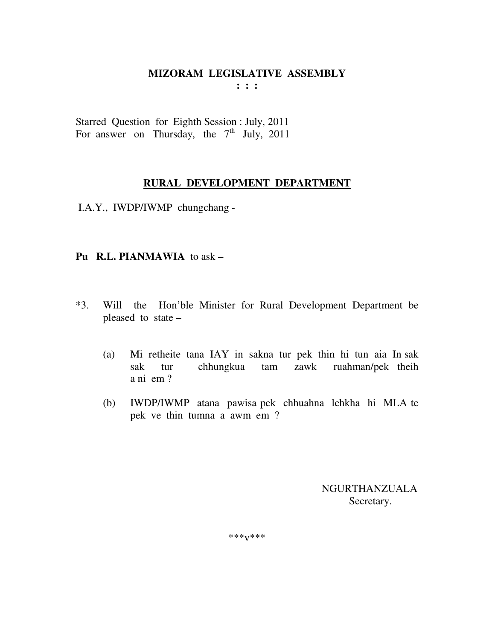# **MIZORAM LEGISLATIVE ASSEMBLY**

**: : :** 

Starred Question for Eighth Session : July, 2011 For answer on Thursday, the  $7<sup>th</sup>$  July, 2011

#### **RURAL DEVELOPMENT DEPARTMENT**

I.A.Y., IWDP/IWMP chungchang -

#### **Pu R.L. PIANMAWIA** to ask –

- \*3. Will the Hon'ble Minister for Rural Development Department be pleased to state –
	- (a) Mi retheite tana IAY in sakna tur pek thin hi tun aia In sak sak tur chhungkua tam zawk ruahman/pek theih a ni em ?
	- (b) IWDP/IWMP atana pawisa pek chhuahna lehkha hi MLA te pek ve thin tumna a awm em ?

 NGURTHANZUALA Secretary.

\*\*\*v\*\*\*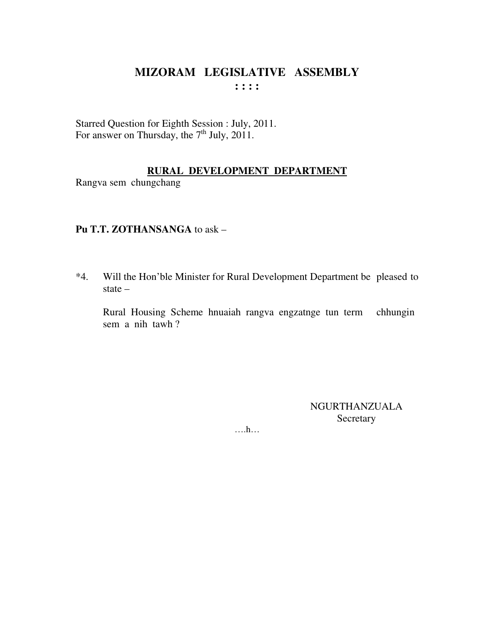# MIZORAM LEGISLATIVE ASSEMBLY  $: : : :$

Starred Question for Eighth Session : July, 2011.<br>For answer on Thursday, the  $7<sup>th</sup>$  July, 2011.

#### RURAL DEVELOPMENT DEPARTMENT

Rangva sem chungchang

#### Pu T.T. ZOTHANSANGA to ask -

Will the Hon'ble Minister for Rural Development Department be pleased to  $*4.$ state  $-$ 

Rural Housing Scheme hnuaiah rangva engzatnge tun term chhungin sem a nih tawh?

> **NGURTHANZUALA** Secretary

 $\dots$   $h$ ...